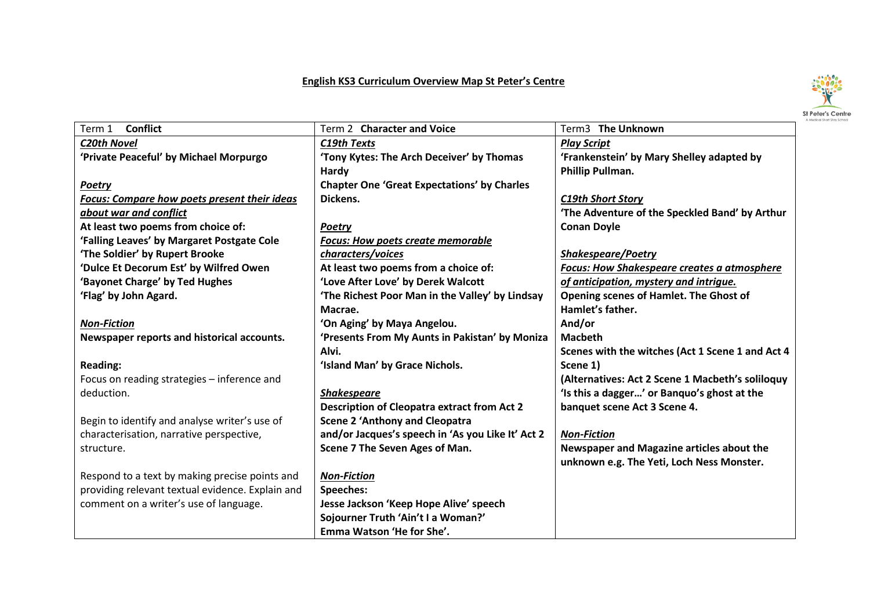## **English KS3 Curriculum Overview Map St Peter's Centre**



| <b>Conflict</b><br>Term 1                           | Term 2 Character and Voice                         | Term3 The Unknown                                  |
|-----------------------------------------------------|----------------------------------------------------|----------------------------------------------------|
| <b>C20th Novel</b>                                  | C19th Texts                                        | <b>Play Script</b>                                 |
| 'Private Peaceful' by Michael Morpurgo              | 'Tony Kytes: The Arch Deceiver' by Thomas          | 'Frankenstein' by Mary Shelley adapted by          |
|                                                     | Hardy                                              | Phillip Pullman.                                   |
| <b>Poetry</b>                                       | <b>Chapter One 'Great Expectations' by Charles</b> |                                                    |
| <b>Focus: Compare how poets present their ideas</b> | Dickens.                                           | <b>C19th Short Story</b>                           |
| about war and conflict                              |                                                    | 'The Adventure of the Speckled Band' by Arthur     |
| At least two poems from choice of:                  | <b>Poetry</b>                                      | <b>Conan Doyle</b>                                 |
| 'Falling Leaves' by Margaret Postgate Cole          | <b>Focus: How poets create memorable</b>           |                                                    |
| 'The Soldier' by Rupert Brooke                      | characters/voices                                  | <b>Shakespeare/Poetry</b>                          |
| 'Dulce Et Decorum Est' by Wilfred Owen              | At least two poems from a choice of:               | <b>Focus: How Shakespeare creates a atmosphere</b> |
| 'Bayonet Charge' by Ted Hughes                      | 'Love After Love' by Derek Walcott                 | of anticipation, mystery and intrigue.             |
| 'Flag' by John Agard.                               | 'The Richest Poor Man in the Valley' by Lindsay    | Opening scenes of Hamlet. The Ghost of             |
|                                                     | Macrae.                                            | Hamlet's father.                                   |
| <b>Non-Fiction</b>                                  | 'On Aging' by Maya Angelou.                        | And/or                                             |
| Newspaper reports and historical accounts.          | 'Presents From My Aunts in Pakistan' by Moniza     | <b>Macbeth</b>                                     |
|                                                     | Alvi.                                              | Scenes with the witches (Act 1 Scene 1 and Act 4   |
| <b>Reading:</b>                                     | 'Island Man' by Grace Nichols.                     | Scene 1)                                           |
| Focus on reading strategies - inference and         |                                                    | (Alternatives: Act 2 Scene 1 Macbeth's soliloquy   |
| deduction.                                          | <b>Shakespeare</b>                                 | 'Is this a dagger' or Banquo's ghost at the        |
|                                                     | <b>Description of Cleopatra extract from Act 2</b> | banquet scene Act 3 Scene 4.                       |
| Begin to identify and analyse writer's use of       | <b>Scene 2 'Anthony and Cleopatra</b>              |                                                    |
| characterisation, narrative perspective,            | and/or Jacques's speech in 'As you Like It' Act 2  | <b>Non-Fiction</b>                                 |
| structure.                                          | Scene 7 The Seven Ages of Man.                     | Newspaper and Magazine articles about the          |
|                                                     |                                                    | unknown e.g. The Yeti, Loch Ness Monster.          |
| Respond to a text by making precise points and      | <b>Non-Fiction</b>                                 |                                                    |
| providing relevant textual evidence. Explain and    | Speeches:                                          |                                                    |
| comment on a writer's use of language.              | Jesse Jackson 'Keep Hope Alive' speech             |                                                    |
|                                                     | Sojourner Truth 'Ain't I a Woman?'                 |                                                    |
|                                                     | Emma Watson 'He for She'.                          |                                                    |